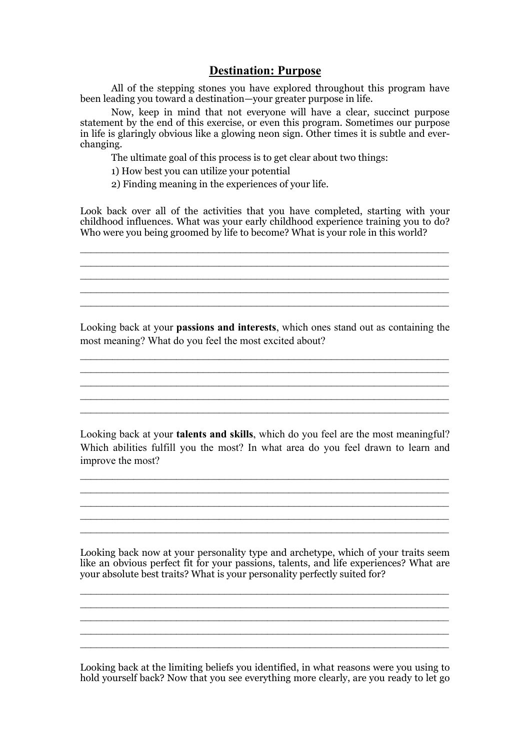## **Destination: Purpose**

All of the stepping stones you have explored throughout this program have been leading you toward a destination—your greater purpose in life.

Now, keep in mind that not everyone will have a clear, succinct purpose statement by the end of this exercise, or even this program. Sometimes our purpose in life is glaringly obvious like a glowing neon sign. Other times it is subtle and everchanging.

The ultimate goal of this process is to get clear about two things:

1) How best you can utilize your potential

2) Finding meaning in the experiences of your life.

Look back over all of the activities that you have completed, starting with your childhood influences. What was your early childhood experience training you to do? Who were you being groomed by life to become? What is your role in this world?

 $\mathcal{L}_\mathcal{L} = \mathcal{L}_\mathcal{L} = \mathcal{L}_\mathcal{L} = \mathcal{L}_\mathcal{L} = \mathcal{L}_\mathcal{L} = \mathcal{L}_\mathcal{L} = \mathcal{L}_\mathcal{L} = \mathcal{L}_\mathcal{L} = \mathcal{L}_\mathcal{L} = \mathcal{L}_\mathcal{L} = \mathcal{L}_\mathcal{L} = \mathcal{L}_\mathcal{L} = \mathcal{L}_\mathcal{L} = \mathcal{L}_\mathcal{L} = \mathcal{L}_\mathcal{L} = \mathcal{L}_\mathcal{L} = \mathcal{L}_\mathcal{L}$  $\mathcal{L}_\mathcal{L} = \mathcal{L}_\mathcal{L} = \mathcal{L}_\mathcal{L} = \mathcal{L}_\mathcal{L} = \mathcal{L}_\mathcal{L} = \mathcal{L}_\mathcal{L} = \mathcal{L}_\mathcal{L} = \mathcal{L}_\mathcal{L} = \mathcal{L}_\mathcal{L} = \mathcal{L}_\mathcal{L} = \mathcal{L}_\mathcal{L} = \mathcal{L}_\mathcal{L} = \mathcal{L}_\mathcal{L} = \mathcal{L}_\mathcal{L} = \mathcal{L}_\mathcal{L} = \mathcal{L}_\mathcal{L} = \mathcal{L}_\mathcal{L}$  $\mathcal{L}_\text{max} = \frac{1}{2} \sum_{i=1}^n \mathcal{L}_\text{max}(\mathbf{x}_i - \mathbf{y}_i)$ 

 $\mathcal{L}_\text{max}$ 

Looking back at your **passions and interests**, which ones stand out as containing the most meaning? What do you feel the most excited about?

 $\mathcal{L}_\mathcal{L} = \mathcal{L}_\mathcal{L} = \mathcal{L}_\mathcal{L} = \mathcal{L}_\mathcal{L} = \mathcal{L}_\mathcal{L} = \mathcal{L}_\mathcal{L} = \mathcal{L}_\mathcal{L} = \mathcal{L}_\mathcal{L} = \mathcal{L}_\mathcal{L} = \mathcal{L}_\mathcal{L} = \mathcal{L}_\mathcal{L} = \mathcal{L}_\mathcal{L} = \mathcal{L}_\mathcal{L} = \mathcal{L}_\mathcal{L} = \mathcal{L}_\mathcal{L} = \mathcal{L}_\mathcal{L} = \mathcal{L}_\mathcal{L}$  $\mathcal{L}_\mathcal{L} = \mathcal{L}_\mathcal{L} = \mathcal{L}_\mathcal{L} = \mathcal{L}_\mathcal{L} = \mathcal{L}_\mathcal{L} = \mathcal{L}_\mathcal{L} = \mathcal{L}_\mathcal{L} = \mathcal{L}_\mathcal{L} = \mathcal{L}_\mathcal{L} = \mathcal{L}_\mathcal{L} = \mathcal{L}_\mathcal{L} = \mathcal{L}_\mathcal{L} = \mathcal{L}_\mathcal{L} = \mathcal{L}_\mathcal{L} = \mathcal{L}_\mathcal{L} = \mathcal{L}_\mathcal{L} = \mathcal{L}_\mathcal{L}$  $\mathcal{L}_\mathcal{L} = \mathcal{L}_\mathcal{L} = \mathcal{L}_\mathcal{L} = \mathcal{L}_\mathcal{L} = \mathcal{L}_\mathcal{L} = \mathcal{L}_\mathcal{L} = \mathcal{L}_\mathcal{L} = \mathcal{L}_\mathcal{L} = \mathcal{L}_\mathcal{L} = \mathcal{L}_\mathcal{L} = \mathcal{L}_\mathcal{L} = \mathcal{L}_\mathcal{L} = \mathcal{L}_\mathcal{L} = \mathcal{L}_\mathcal{L} = \mathcal{L}_\mathcal{L} = \mathcal{L}_\mathcal{L} = \mathcal{L}_\mathcal{L}$  $\mathcal{L}_\mathcal{L} = \mathcal{L}_\mathcal{L} = \mathcal{L}_\mathcal{L} = \mathcal{L}_\mathcal{L} = \mathcal{L}_\mathcal{L} = \mathcal{L}_\mathcal{L} = \mathcal{L}_\mathcal{L} = \mathcal{L}_\mathcal{L} = \mathcal{L}_\mathcal{L} = \mathcal{L}_\mathcal{L} = \mathcal{L}_\mathcal{L} = \mathcal{L}_\mathcal{L} = \mathcal{L}_\mathcal{L} = \mathcal{L}_\mathcal{L} = \mathcal{L}_\mathcal{L} = \mathcal{L}_\mathcal{L} = \mathcal{L}_\mathcal{L}$  $\mathcal{L}_\mathcal{L} = \mathcal{L}_\mathcal{L} = \mathcal{L}_\mathcal{L} = \mathcal{L}_\mathcal{L} = \mathcal{L}_\mathcal{L} = \mathcal{L}_\mathcal{L} = \mathcal{L}_\mathcal{L} = \mathcal{L}_\mathcal{L} = \mathcal{L}_\mathcal{L} = \mathcal{L}_\mathcal{L} = \mathcal{L}_\mathcal{L} = \mathcal{L}_\mathcal{L} = \mathcal{L}_\mathcal{L} = \mathcal{L}_\mathcal{L} = \mathcal{L}_\mathcal{L} = \mathcal{L}_\mathcal{L} = \mathcal{L}_\mathcal{L}$ 

 $\mathcal{L}_\mathcal{L} = \mathcal{L}_\mathcal{L} = \mathcal{L}_\mathcal{L} = \mathcal{L}_\mathcal{L} = \mathcal{L}_\mathcal{L} = \mathcal{L}_\mathcal{L} = \mathcal{L}_\mathcal{L} = \mathcal{L}_\mathcal{L} = \mathcal{L}_\mathcal{L} = \mathcal{L}_\mathcal{L} = \mathcal{L}_\mathcal{L} = \mathcal{L}_\mathcal{L} = \mathcal{L}_\mathcal{L} = \mathcal{L}_\mathcal{L} = \mathcal{L}_\mathcal{L} = \mathcal{L}_\mathcal{L} = \mathcal{L}_\mathcal{L}$ 

Looking back at your **talents and skills**, which do you feel are the most meaningful? Which abilities fulfill you the most? In what area do you feel drawn to learn and improve the most?

 $\mathcal{L}_\mathcal{L} = \mathcal{L}_\mathcal{L} = \mathcal{L}_\mathcal{L} = \mathcal{L}_\mathcal{L} = \mathcal{L}_\mathcal{L} = \mathcal{L}_\mathcal{L} = \mathcal{L}_\mathcal{L} = \mathcal{L}_\mathcal{L} = \mathcal{L}_\mathcal{L} = \mathcal{L}_\mathcal{L} = \mathcal{L}_\mathcal{L} = \mathcal{L}_\mathcal{L} = \mathcal{L}_\mathcal{L} = \mathcal{L}_\mathcal{L} = \mathcal{L}_\mathcal{L} = \mathcal{L}_\mathcal{L} = \mathcal{L}_\mathcal{L}$  $\mathcal{L}_\mathcal{L} = \mathcal{L}_\mathcal{L} = \mathcal{L}_\mathcal{L} = \mathcal{L}_\mathcal{L} = \mathcal{L}_\mathcal{L} = \mathcal{L}_\mathcal{L} = \mathcal{L}_\mathcal{L} = \mathcal{L}_\mathcal{L} = \mathcal{L}_\mathcal{L} = \mathcal{L}_\mathcal{L} = \mathcal{L}_\mathcal{L} = \mathcal{L}_\mathcal{L} = \mathcal{L}_\mathcal{L} = \mathcal{L}_\mathcal{L} = \mathcal{L}_\mathcal{L} = \mathcal{L}_\mathcal{L} = \mathcal{L}_\mathcal{L}$ 

 $\mathcal{L}_\mathcal{L} = \mathcal{L}_\mathcal{L} = \mathcal{L}_\mathcal{L} = \mathcal{L}_\mathcal{L} = \mathcal{L}_\mathcal{L} = \mathcal{L}_\mathcal{L} = \mathcal{L}_\mathcal{L} = \mathcal{L}_\mathcal{L} = \mathcal{L}_\mathcal{L} = \mathcal{L}_\mathcal{L} = \mathcal{L}_\mathcal{L} = \mathcal{L}_\mathcal{L} = \mathcal{L}_\mathcal{L} = \mathcal{L}_\mathcal{L} = \mathcal{L}_\mathcal{L} = \mathcal{L}_\mathcal{L} = \mathcal{L}_\mathcal{L}$ 

\_\_\_\_\_\_\_\_\_\_\_\_\_\_\_\_\_\_\_\_\_\_\_\_\_\_\_\_\_\_\_\_\_\_\_\_\_\_\_\_\_\_\_\_\_\_\_\_\_\_\_\_\_\_\_\_\_\_\_\_\_\_\_\_\_\_\_\_\_

Looking back now at your personality type and archetype, which of your traits seem like an obvious perfect fit for your passions, talents, and life experiences? What are your absolute best traits? What is your personality perfectly suited for?

 $\mathcal{L}_\text{max} = \frac{1}{2} \sum_{i=1}^n \mathcal{L}_\text{max}(\mathbf{z}_i - \mathbf{z}_i)$ 

 $\mathcal{L}_\text{max} = \frac{1}{2} \sum_{i=1}^n \mathcal{L}_\text{max}(\mathbf{z}_i - \mathbf{z}_i)$ 

\_\_\_\_\_\_\_\_\_\_\_\_\_\_\_\_\_\_\_\_\_\_\_\_\_\_\_\_\_\_\_\_\_\_\_\_\_\_\_\_\_\_\_\_\_\_\_\_\_\_\_\_\_\_\_\_\_\_\_\_\_\_\_\_\_\_\_\_\_

Looking back at the limiting beliefs you identified, in what reasons were you using to hold yourself back? Now that you see everything more clearly, are you ready to let go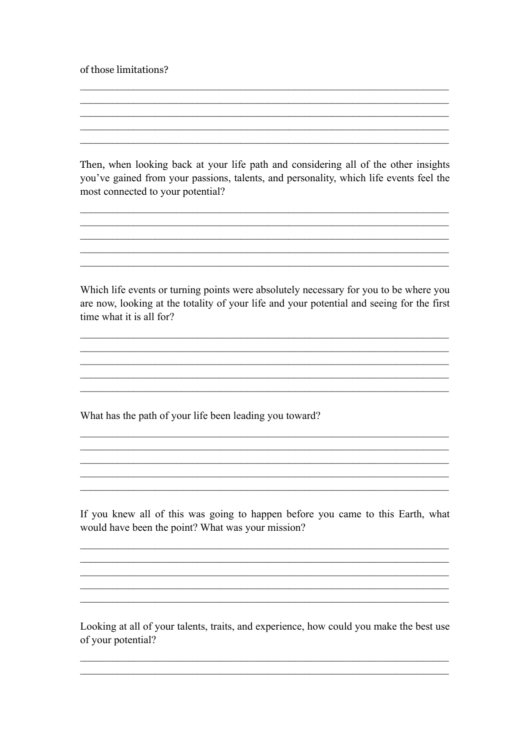of those limitations?

Then, when looking back at your life path and considering all of the other insights you've gained from your passions, talents, and personality, which life events feel the most connected to your potential?

Which life events or turning points were absolutely necessary for you to be where you are now, looking at the totality of your life and your potential and seeing for the first time what it is all for?

What has the path of your life been leading you toward?

If you knew all of this was going to happen before you came to this Earth, what would have been the point? What was your mission?

<u> 1989 - Jan James James Barnett, amerikan basar dan berasal dari pertama dan berasal dari pertama dan berasal</u>

Looking at all of your talents, traits, and experience, how could you make the best use of your potential?